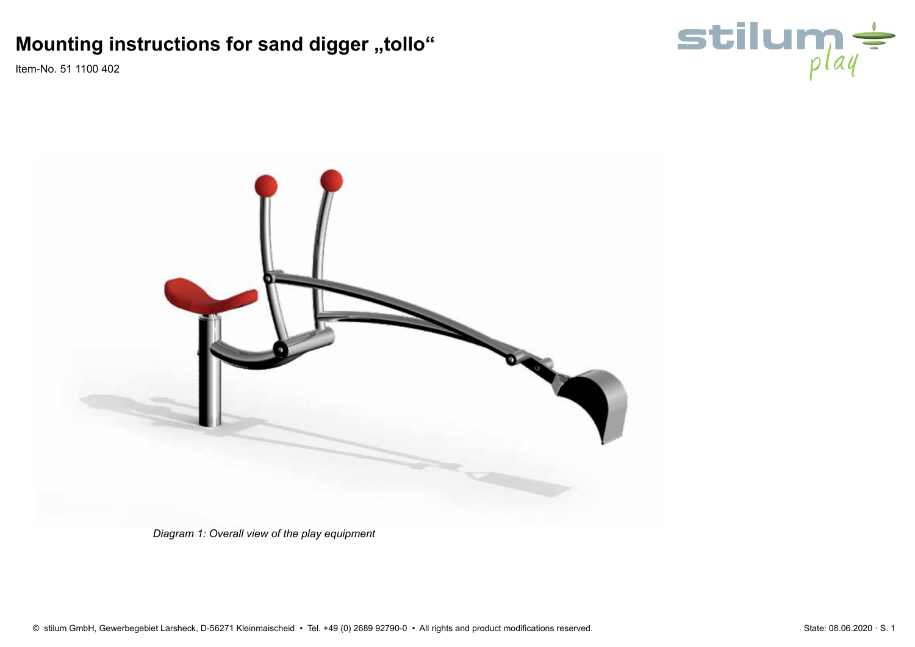Item-No. 51 1100 402





*Diagram 1: Overall view of the play equipment*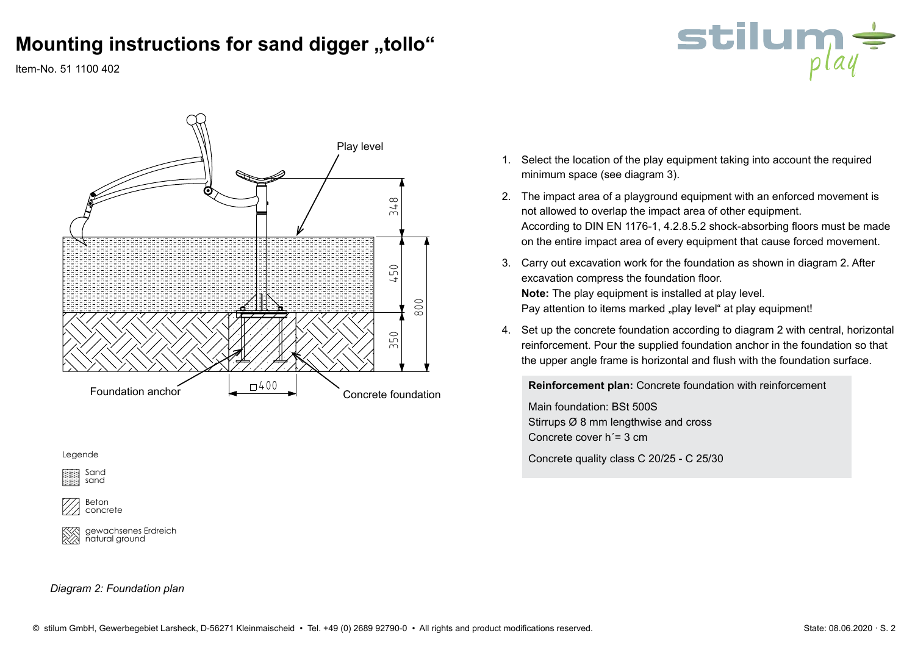

Item-No. 51 1100 402



Legende

Sand sand

Beton concrete

gewachsenes Erdreich natural ground

#### *Diagram 2: Foundation plan*

- 1. Select the location of the play equipment taking into account the required minimum space (see diagram 3).
- 2. The impact area of a playground equipment with an enforced movement is not allowed to overlap the impact area of other equipment. According to DIN EN 1176-1, 4.2.8.5.2 shock-absorbing floors must be made on the entire impact area of every equipment that cause forced movement.
- 3. Carry out excavation work for the foundation as shown in diagram 2. After excavation compress the foundation floor. **Note:** The play equipment is installed at play level. Pay attention to items marked "play level" at play equipment!
- 4. Set up the concrete foundation according to diagram 2 with central, horizontal reinforcement. Pour the supplied foundation anchor in the foundation so that the upper angle frame is horizontal and flush with the foundation surface.

**Reinforcement plan:** Concrete foundation with reinforcement

Main foundation: BSt 500S Stirrups Ø 8 mm lengthwise and cross Concrete cover h´= 3 cm

Concrete quality class C 20/25 - C 25/30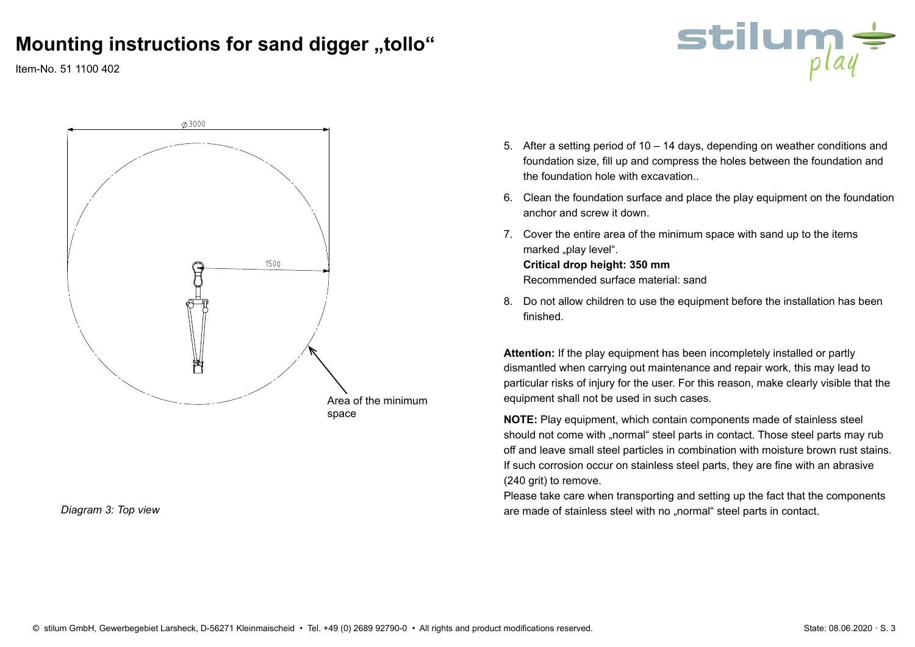stilum

Item-No. 51 1100 402



*Diagram 3: Top view*

- 5. After a setting period of 10 14 days, depending on weather conditions and foundation size, fill up and compress the holes between the foundation and the foundation hole with excavation..
- 6. Clean the foundation surface and place the play equipment on the foundation anchor and screw it down.
- 7. Cover the entire area of the minimum space with sand up to the items marked "play level". **Critical drop height: 350 mm** Recommended surface material: sand
- 8. Do not allow children to use the equipment before the installation has been finished.

**Attention:** If the play equipment has been incompletely installed or partly dismantled when carrying out maintenance and repair work, this may lead to particular risks of injury for the user. For this reason, make clearly visible that the equipment shall not be used in such cases.

**NOTE:** Play equipment, which contain components made of stainless steel should not come with "normal" steel parts in contact. Those steel parts may rub off and leave small steel particles in combination with moisture brown rust stains. If such corrosion occur on stainless steel parts, they are fine with an abrasive (240 grit) to remove.

Please take care when transporting and setting up the fact that the components are made of stainless steel with no "normal" steel parts in contact.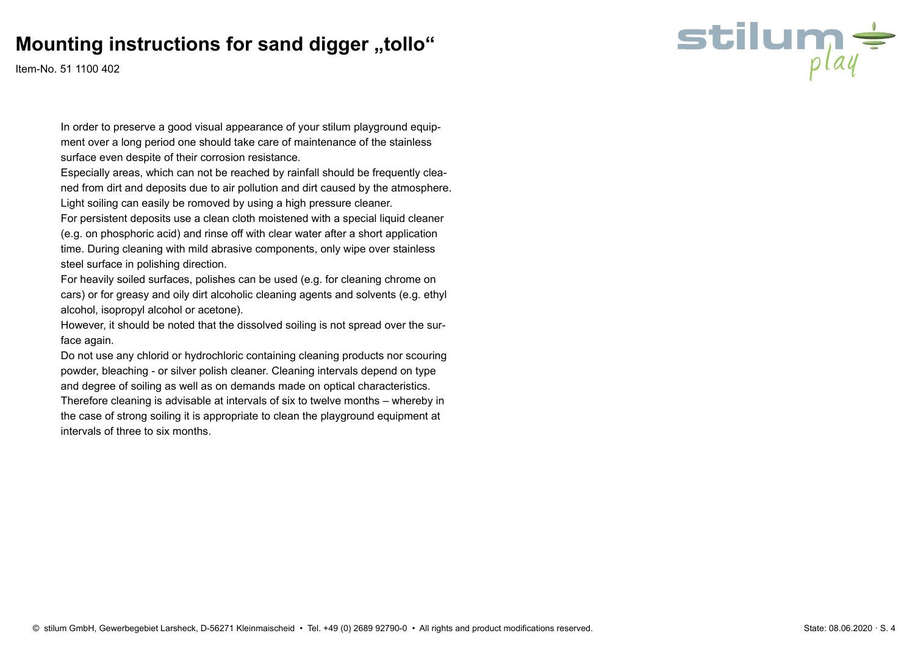Item-No. 51 1100 402

In order to preserve a good visual appearance of your stilum playground equipment over a long period one should take care of maintenance of the stainless surface even despite of their corrosion resistance.

Especially areas, which can not be reached by rainfall should be frequently cleaned from dirt and deposits due to air pollution and dirt caused by the atmosphere. Light soiling can easily be romoved by using a high pressure cleaner.

For persistent deposits use a clean cloth moistened with a special liquid cleaner (e.g. on phosphoric acid) and rinse off with clear water after a short application time. During cleaning with mild abrasive components, only wipe over stainless steel surface in polishing direction.

For heavily soiled surfaces, polishes can be used (e.g. for cleaning chrome on cars) or for greasy and oily dirt alcoholic cleaning agents and solvents (e.g. ethyl alcohol, isopropyl alcohol or acetone).

However, it should be noted that the dissolved soiling is not spread over the surface again.

Do not use any chlorid or hydrochloric containing cleaning products nor scouring powder, bleaching - or silver polish cleaner. Cleaning intervals depend on type and degree of soiling as well as on demands made on optical characteristics.

Therefore cleaning is advisable at intervals of six to twelve months – whereby in the case of strong soiling it is appropriate to clean the playground equipment at intervals of three to six months.

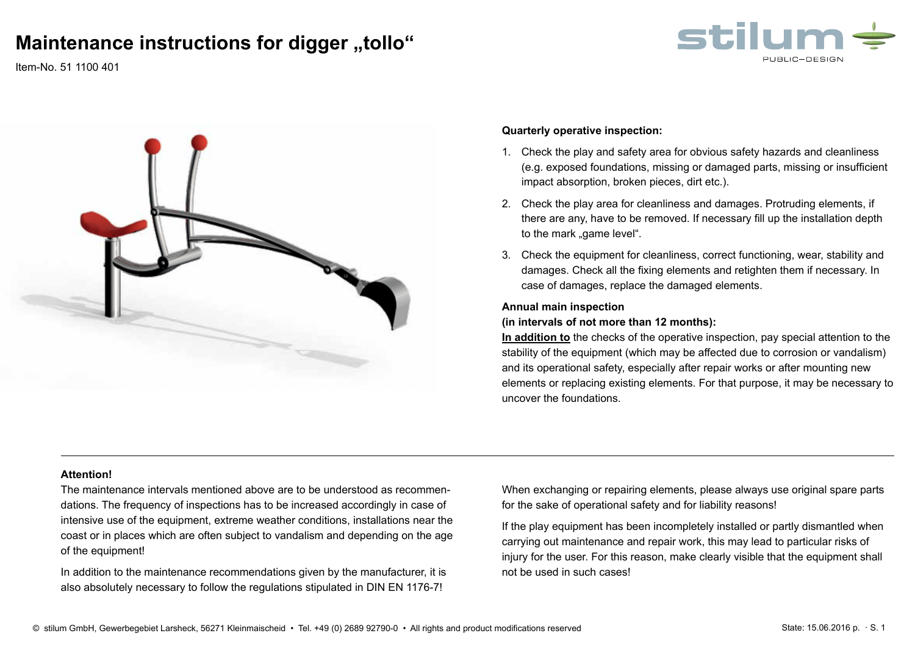## **Maintenance instructions for digger "tollo"**

stilum

Item-No. 51 1100 401



#### **Quarterly operative inspection:**

- 1. Check the play and safety area for obvious safety hazards and cleanliness (e.g. exposed foundations, missing or damaged parts, missing or insufficient impact absorption, broken pieces, dirt etc.).
- 2. Check the play area for cleanliness and damages. Protruding elements, if there are any, have to be removed. If necessary fill up the installation depth to the mark "game level".
- 3. Check the equipment for cleanliness, correct functioning, wear, stability and damages. Check all the fixing elements and retighten them if necessary. In case of damages, replace the damaged elements.

#### **Annual main inspection**

**(in intervals of not more than 12 months):** 

**In addition to** the checks of the operative inspection, pay special attention to the stability of the equipment (which may be affected due to corrosion or vandalism) and its operational safety, especially after repair works or after mounting new elements or replacing existing elements. For that purpose, it may be necessary to uncover the foundations.

#### **Attention!**

The maintenance intervals mentioned above are to be understood as recommendations. The frequency of inspections has to be increased accordingly in case of intensive use of the equipment, extreme weather conditions, installations near the coast or in places which are often subject to vandalism and depending on the age of the equipment!

In addition to the maintenance recommendations given by the manufacturer, it is also absolutely necessary to follow the regulations stipulated in DIN EN 1176-7!

When exchanging or repairing elements, please always use original spare parts for the sake of operational safety and for liability reasons!

If the play equipment has been incompletely installed or partly dismantled when carrying out maintenance and repair work, this may lead to particular risks of injury for the user. For this reason, make clearly visible that the equipment shall not be used in such cases!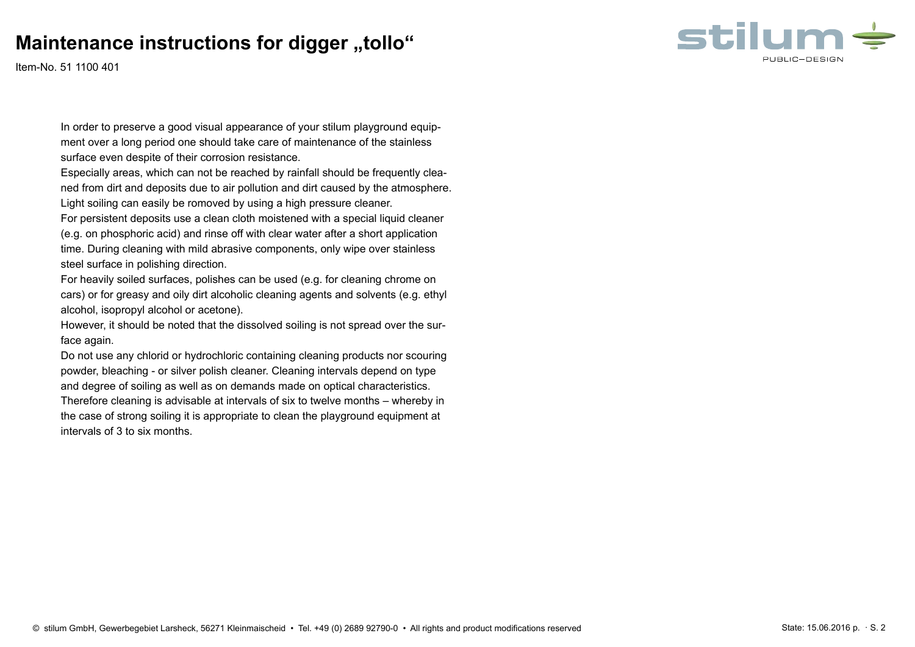## **Maintenance instructions for digger "tollo"**



Item-No. 51 1100 401

In order to preserve a good visual appearance of your stilum playground equipment over a long period one should take care of maintenance of the stainless surface even despite of their corrosion resistance.

Especially areas, which can not be reached by rainfall should be frequently cleaned from dirt and deposits due to air pollution and dirt caused by the atmosphere. Light soiling can easily be romoved by using a high pressure cleaner.

For persistent deposits use a clean cloth moistened with a special liquid cleaner (e.g. on phosphoric acid) and rinse off with clear water after a short application time. During cleaning with mild abrasive components, only wipe over stainless steel surface in polishing direction.

For heavily soiled surfaces, polishes can be used (e.g. for cleaning chrome on cars) or for greasy and oily dirt alcoholic cleaning agents and solvents (e.g. ethyl alcohol, isopropyl alcohol or acetone).

However, it should be noted that the dissolved soiling is not spread over the surface again.

Do not use any chlorid or hydrochloric containing cleaning products nor scouring powder, bleaching - or silver polish cleaner. Cleaning intervals depend on type and degree of soiling as well as on demands made on optical characteristics.

Therefore cleaning is advisable at intervals of six to twelve months – whereby in the case of strong soiling it is appropriate to clean the playground equipment at intervals of 3 to six months.